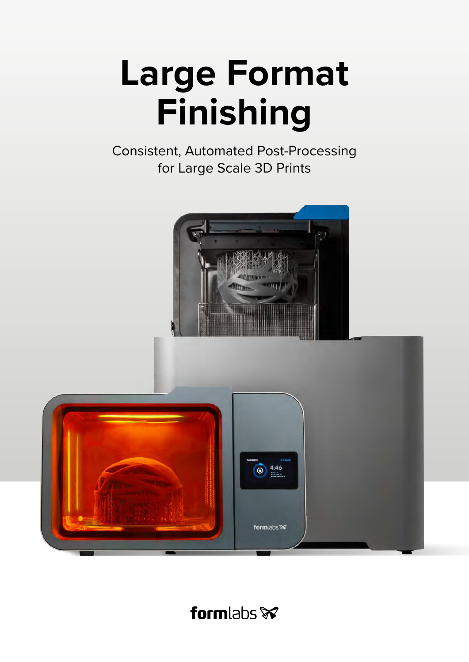# **Large Format Finishing**

Consistent, Automated Post-Processing for Large Scale 3D Prints



# formlabs **x**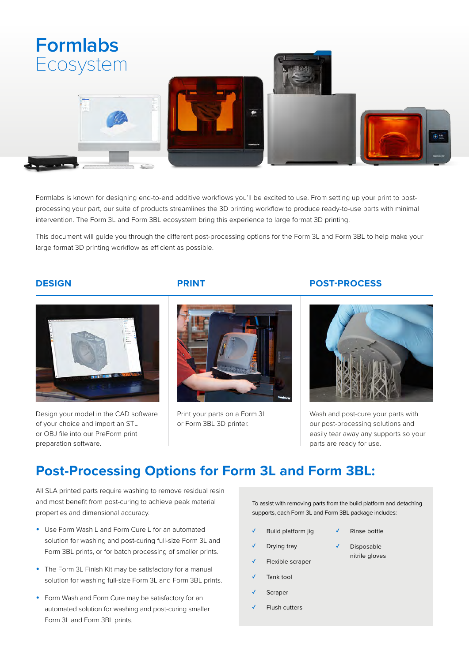

Formlabs is known for designing end-to-end additive workflows you'll be excited to use. From setting up your print to postprocessing your part, our suite of products streamlines the 3D printing workflow to produce ready-to-use parts with minimal intervention. The Form 3L and Form 3BL ecosystem bring this experience to large format 3D printing.

This document will guide you through the different post-processing options for the Form 3L and Form 3BL to help make your large format 3D printing workflow as efficient as possible.



Design your model in the CAD software of your choice and import an STL or OBJ file into our PreForm print preparation software.



Print your parts on a Form 3L or Form 3BL 3D printer.

### **DESIGN PRINT POST-PROCESS**



Wash and post-cure your parts with our post-processing solutions and easily tear away any supports so your parts are ready for use.

### **Post-Processing Options for Form 3L and Form 3BL:**

All SLA printed parts require washing to remove residual resin and most benefit from post-curing to achieve peak material properties and dimensional accuracy.

- Use Form Wash L and Form Cure L for an automated solution for washing and post-curing full-size Form 3L and Form 3BL prints, or for batch processing of smaller prints.
- The Form 3L Finish Kit may be satisfactory for a manual solution for washing full-size Form 3L and Form 3BL prints.
- Form Wash and Form Cure may be satisfactory for an automated solution for washing and post-curing smaller Form 3L and Form 3BL prints.

To assist with removing parts from the build platform and detaching supports, each Form 3L and Form 3BL package includes:

- Build platform jig
- Drying tray
- Flexible scraper
- Tank tool
- **Scraper**
- Flush cutters
- Disposable nitrile gloves

Rinse bottle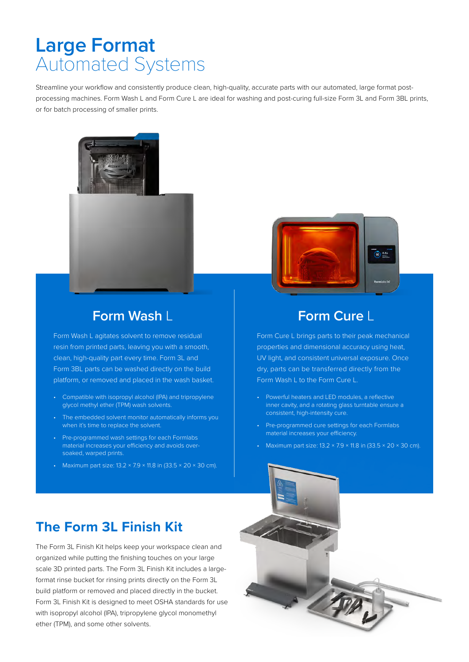## **Large Format** Automated Systems

Streamline your workflow and consistently produce clean, high-quality, accurate parts with our automated, large format postprocessing machines. Form Wash L and Form Cure L are ideal for washing and post-curing full-size Form 3L and Form 3BL prints, or for batch processing of smaller prints.



### **Form Wash** L **Form Cure** L

Form Wash L agitates solvent to remove residual resin from printed parts, leaving you with a smooth, clean, high-quality part every time. Form 3L and Form 3BL parts can be washed directly on the build platform, or removed and placed in the wash basket.

- Compatible with isopropyl alcohol (IPA) and tripropylene glycol methyl ether (TPM) wash solvents.
- The embedded solvent monitor automatically informs you when it's time to replace the solvent.
- Pre-programmed wash settings for each Formlabs material increases your efficiency and avoids oversoaked, warped prints.
- Maximum part size:  $13.2 \times 7.9 \times 11.8$  in  $(33.5 \times 20 \times 30$  cm).



Form Cure L brings parts to their peak mechanical properties and dimensional accuracy using heat, UV light, and consistent universal exposure. Once dry, parts can be transferred directly from the Form Wash L to the Form Cure L.

- Powerful heaters and LED modules, a reflective inner cavity, and a rotating glass turntable ensure a consistent, high-intensity cure.
- Pre-programmed cure settings for each Formlabs material increases your efficiency.
- Maximum part size: 13.2 × 7.9 × 11.8 in (33.5 × 20 × 30 cm).



The Form 3L Finish Kit helps keep your workspace clean and organized while putting the finishing touches on your large scale 3D printed parts. The Form 3L Finish Kit includes a largeformat rinse bucket for rinsing prints directly on the Form 3L build platform or removed and placed directly in the bucket. Form 3L Finish Kit is designed to meet OSHA standards for use with isopropyl alcohol (IPA), tripropylene glycol monomethyl ether (TPM), and some other solvents.